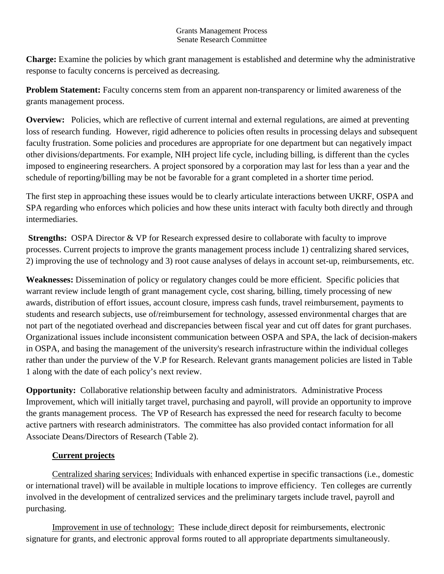## Grants Management Process Senate Research Committee

**Charge:** Examine the policies by which grant management is established and determine why the administrative response to faculty concerns is perceived as decreasing.

**Problem Statement:** Faculty concerns stem from an apparent non-transparency or limited awareness of the grants management process.

**Overview:** Policies, which are reflective of current internal and external regulations, are aimed at preventing loss of research funding. However, rigid adherence to policies often results in processing delays and subsequent faculty frustration. Some policies and procedures are appropriate for one department but can negatively impact other divisions/departments. For example, NIH project life cycle, including billing, is different than the cycles imposed to engineering researchers. A project sponsored by a corporation may last for less than a year and the schedule of reporting/billing may be not be favorable for a grant completed in a shorter time period.

The first step in approaching these issues would be to clearly articulate interactions between UKRF, OSPA and SPA regarding who enforces which policies and how these units interact with faculty both directly and through intermediaries.

**Strengths:** OSPA Director & VP for Research expressed desire to collaborate with faculty to improve processes. Current projects to improve the grants management process include 1) centralizing shared services, 2) improving the use of technology and 3) root cause analyses of delays in account set-up, reimbursements, etc.

**Weaknesses:** Dissemination of policy or regulatory changes could be more efficient. Specific policies that warrant review include length of grant management cycle, cost sharing, billing, timely processing of new awards, distribution of effort issues, account closure, impress cash funds, travel reimbursement, payments to students and research subjects, use of/reimbursement for technology, assessed environmental charges that are not part of the negotiated overhead and discrepancies between fiscal year and cut off dates for grant purchases. Organizational issues include inconsistent communication between OSPA and SPA, the lack of decision-makers in OSPA, and basing the management of the university's research infrastructure within the individual colleges rather than under the purview of the V.P for Research. Relevant grants management policies are listed in Table 1 along with the date of each policy's next review.

**Opportunity:** Collaborative relationship between faculty and administrators. Administrative Process Improvement, which will initially target travel, purchasing and payroll, will provide an opportunity to improve the grants management process. The VP of Research has expressed the need for research faculty to become active partners with research administrators. The committee has also provided contact information for all Associate Deans/Directors of Research (Table 2).

## **Current projects**

Centralized sharing services: Individuals with enhanced expertise in specific transactions (i.e., domestic or international travel) will be available in multiple locations to improve efficiency. Ten colleges are currently involved in the development of centralized services and the preliminary targets include travel, payroll and purchasing.

Improvement in use of technology: These include direct deposit for reimbursements, electronic signature for grants, and electronic approval forms routed to all appropriate departments simultaneously.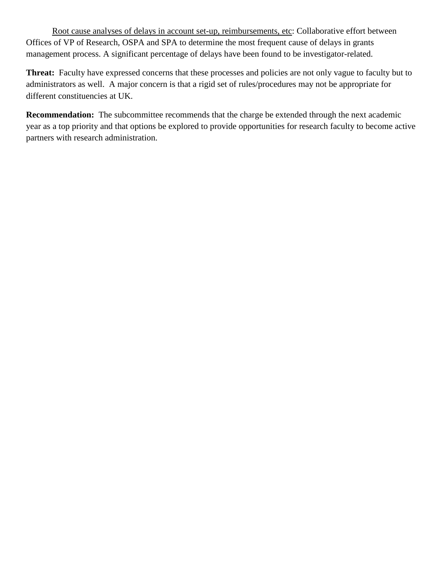Root cause analyses of delays in account set-up, reimbursements, etc: Collaborative effort between Offices of VP of Research, OSPA and SPA to determine the most frequent cause of delays in grants management process. A significant percentage of delays have been found to be investigator-related.

**Threat:** Faculty have expressed concerns that these processes and policies are not only vague to faculty but to administrators as well. A major concern is that a rigid set of rules/procedures may not be appropriate for different constituencies at UK.

**Recommendation:** The subcommittee recommends that the charge be extended through the next academic year as a top priority and that options be explored to provide opportunities for research faculty to become active partners with research administration.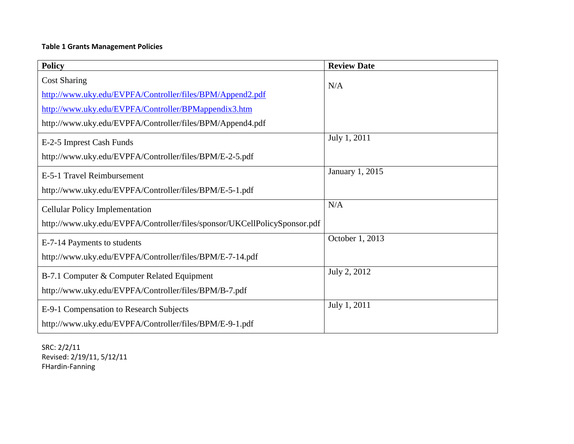## **Table 1 Grants Management Policies**

| <b>Policy</b>                                                             | <b>Review Date</b> |
|---------------------------------------------------------------------------|--------------------|
| <b>Cost Sharing</b>                                                       |                    |
| http://www.uky.edu/EVPFA/Controller/files/BPM/Append2.pdf                 | N/A                |
| http://www.uky.edu/EVPFA/Controller/BPMappendix3.htm                      |                    |
| http://www.uky.edu/EVPFA/Controller/files/BPM/Append4.pdf                 |                    |
| E-2-5 Imprest Cash Funds                                                  | July 1, 2011       |
| http://www.uky.edu/EVPFA/Controller/files/BPM/E-2-5.pdf                   |                    |
| E-5-1 Travel Reimbursement                                                | January 1, 2015    |
| http://www.uky.edu/EVPFA/Controller/files/BPM/E-5-1.pdf                   |                    |
| <b>Cellular Policy Implementation</b>                                     | N/A                |
| http://www.uky.edu/EVPFA/Controller/files/sponsor/UKCellPolicySponsor.pdf |                    |
| E-7-14 Payments to students                                               | October 1, 2013    |
| http://www.uky.edu/EVPFA/Controller/files/BPM/E-7-14.pdf                  |                    |
| B-7.1 Computer & Computer Related Equipment                               | July 2, 2012       |
| http://www.uky.edu/EVPFA/Controller/files/BPM/B-7.pdf                     |                    |
| E-9-1 Compensation to Research Subjects                                   | July 1, 2011       |
| http://www.uky.edu/EVPFA/Controller/files/BPM/E-9-1.pdf                   |                    |

SRC: 2/2/11 Revised: 2/19/11, 5/12/11 FHardin-Fanning